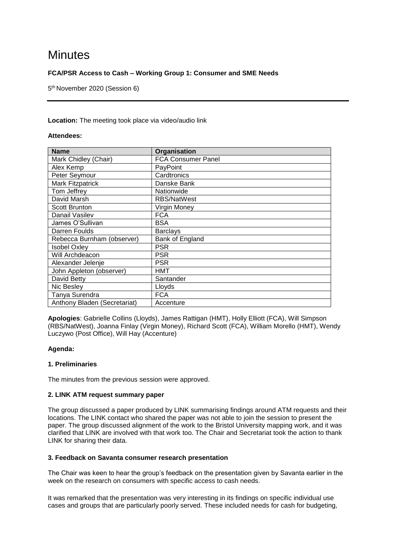# **Minutes**

# **FCA/PSR Access to Cash – Working Group 1: Consumer and SME Needs**

5 th November 2020 (Session 6)

## **Location:** The meeting took place via video/audio link

#### **Attendees:**

| <b>Name</b>                  | Organisation              |
|------------------------------|---------------------------|
| Mark Chidley (Chair)         | <b>FCA Consumer Panel</b> |
| Alex Kemp                    | PayPoint                  |
| Peter Seymour                | Cardtronics               |
| <b>Mark Fitzpatrick</b>      | Danske Bank               |
| Tom Jeffrey                  | Nationwide                |
| David Marsh                  | <b>RBS/NatWest</b>        |
| <b>Scott Brunton</b>         | Virgin Money              |
| Danail Vasilev               | <b>FCA</b>                |
| James O'Sullivan             | <b>BSA</b>                |
| Darren Foulds                | <b>Barclays</b>           |
| Rebecca Burnham (observer)   | Bank of England           |
| Isobel Oxley                 | <b>PSR</b>                |
| Will Archdeacon              | <b>PSR</b>                |
| Alexander Jelenje            | <b>PSR</b>                |
| John Appleton (observer)     | HMT                       |
| David Betty                  | Santander                 |
| Nic Besley                   | Llovds                    |
| Tanya Surendra               | <b>FCA</b>                |
| Anthony Bladen (Secretariat) | Accenture                 |

**Apologies**: Gabrielle Collins (Lloyds), James Rattigan (HMT), Holly Elliott (FCA), Will Simpson (RBS/NatWest), Joanna Finlay (Virgin Money), Richard Scott (FCA), William Morello (HMT), Wendy Luczywo (Post Office), Will Hay (Accenture)

## **Agenda:**

## **1. Preliminaries**

The minutes from the previous session were approved.

## **2. LINK ATM request summary paper**

The group discussed a paper produced by LINK summarising findings around ATM requests and their locations. The LINK contact who shared the paper was not able to join the session to present the paper. The group discussed alignment of the work to the Bristol University mapping work, and it was clarified that LINK are involved with that work too. The Chair and Secretariat took the action to thank LINK for sharing their data.

## **3. Feedback on Savanta consumer research presentation**

The Chair was keen to hear the group's feedback on the presentation given by Savanta earlier in the week on the research on consumers with specific access to cash needs.

It was remarked that the presentation was very interesting in its findings on specific individual use cases and groups that are particularly poorly served. These included needs for cash for budgeting,